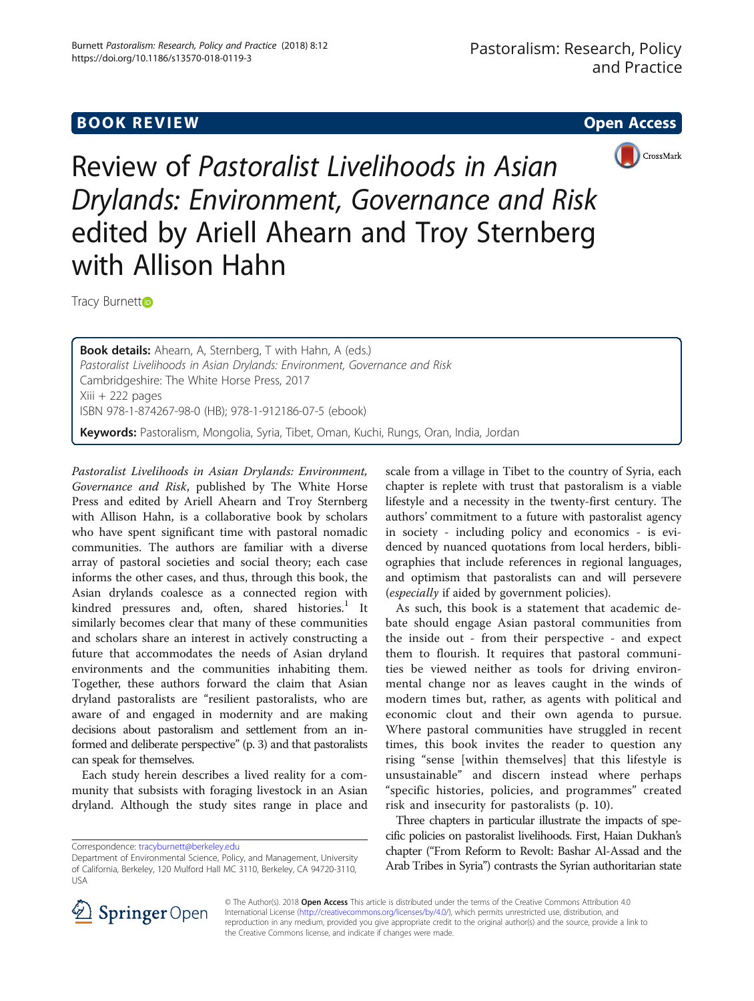# **BOOK REVIEW CONTROL** BOOK REVIEW



Review of Pastoralist Livelihoods in Asian Drylands: Environment, Governance and Risk edited by Ariell Ahearn and Troy Sternberg with Allison Hahn

Tracy Burne[t](http://orcid.org/0000-0003-3991-8233)t<sub>o</sub>

Book details: Ahearn, A, Sternberg, T with Hahn, A (eds.) Pastoralist Livelihoods in Asian Drylands: Environment, Governance and Risk Cambridgeshire: The White Horse Press, 2017  $Xiii + 222$  pages ISBN 978-1-874267-98-0 (HB); 978-1-912186-07-5 (ebook)

Keywords: Pastoralism, Mongolia, Syria, Tibet, Oman, Kuchi, Rungs, Oran, India, Jordan

Pastoralist Livelihoods in Asian Drylands: Environment, Governance and Risk, published by The White Horse Press and edited by Ariell Ahearn and Troy Sternberg with Allison Hahn, is a collaborative book by scholars who have spent significant time with pastoral nomadic communities. The authors are familiar with a diverse array of pastoral societies and social theory; each case informs the other cases, and thus, through this book, the Asian drylands coalesce as a connected region with kindred pressures and, often, shared histories.<sup>1</sup> It similarly becomes clear that many of these communities and scholars share an interest in actively constructing a future that accommodates the needs of Asian dryland environments and the communities inhabiting them. Together, these authors forward the claim that Asian dryland pastoralists are "resilient pastoralists, who are aware of and engaged in modernity and are making decisions about pastoralism and settlement from an informed and deliberate perspective" (p. 3) and that pastoralists can speak for themselves.

Each study herein describes a lived reality for a community that subsists with foraging livestock in an Asian dryland. Although the study sites range in place and scale from a village in Tibet to the country of Syria, each chapter is replete with trust that pastoralism is a viable lifestyle and a necessity in the twenty-first century. The authors' commitment to a future with pastoralist agency in society - including policy and economics - is evidenced by nuanced quotations from local herders, bibliographies that include references in regional languages, and optimism that pastoralists can and will persevere (especially if aided by government policies).

As such, this book is a statement that academic debate should engage Asian pastoral communities from the inside out - from their perspective - and expect them to flourish. It requires that pastoral communities be viewed neither as tools for driving environmental change nor as leaves caught in the winds of modern times but, rather, as agents with political and economic clout and their own agenda to pursue. Where pastoral communities have struggled in recent times, this book invites the reader to question any rising "sense [within themselves] that this lifestyle is unsustainable" and discern instead where perhaps "specific histories, policies, and programmes" created risk and insecurity for pastoralists (p. 10).

Three chapters in particular illustrate the impacts of specific policies on pastoralist livelihoods. First, Haian Dukhan's chapter ("From Reform to Revolt: Bashar Al-Assad and the Arab Tribes in Syria") contrasts the Syrian authoritarian state



© The Author(s). 2018 Open Access This article is distributed under the terms of the Creative Commons Attribution 4.0 International License ([http://creativecommons.org/licenses/by/4.0/\)](http://creativecommons.org/licenses/by/4.0/), which permits unrestricted use, distribution, and reproduction in any medium, provided you give appropriate credit to the original author(s) and the source, provide a link to the Creative Commons license, and indicate if changes were made.

Correspondence: [tracyburnett@berkeley.edu](mailto:tracyburnett@berkeley.edu)

Department of Environmental Science, Policy, and Management, University of California, Berkeley, 120 Mulford Hall MC 3110, Berkeley, CA 94720-3110, USA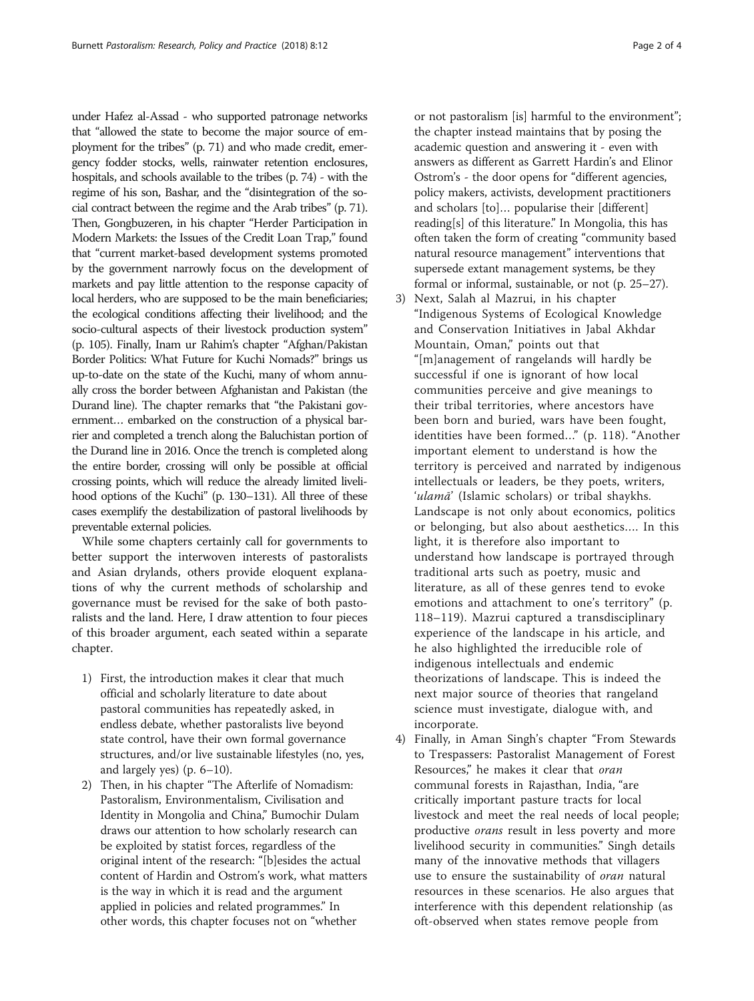under Hafez al-Assad - who supported patronage networks that "allowed the state to become the major source of employment for the tribes" (p. 71) and who made credit, emergency fodder stocks, wells, rainwater retention enclosures, hospitals, and schools available to the tribes (p. 74) - with the regime of his son, Bashar, and the "disintegration of the social contract between the regime and the Arab tribes" (p. 71). Then, Gongbuzeren, in his chapter "Herder Participation in Modern Markets: the Issues of the Credit Loan Trap," found that "current market-based development systems promoted by the government narrowly focus on the development of markets and pay little attention to the response capacity of local herders, who are supposed to be the main beneficiaries; the ecological conditions affecting their livelihood; and the socio-cultural aspects of their livestock production system" (p. 105). Finally, Inam ur Rahim's chapter "Afghan/Pakistan Border Politics: What Future for Kuchi Nomads?" brings us up-to-date on the state of the Kuchi, many of whom annually cross the border between Afghanistan and Pakistan (the Durand line). The chapter remarks that "the Pakistani government… embarked on the construction of a physical barrier and completed a trench along the Baluchistan portion of the Durand line in 2016. Once the trench is completed along the entire border, crossing will only be possible at official crossing points, which will reduce the already limited livelihood options of the Kuchi" (p. 130–131). All three of these cases exemplify the destabilization of pastoral livelihoods by preventable external policies.

While some chapters certainly call for governments to better support the interwoven interests of pastoralists and Asian drylands, others provide eloquent explanations of why the current methods of scholarship and governance must be revised for the sake of both pastoralists and the land. Here, I draw attention to four pieces of this broader argument, each seated within a separate chapter.

- 1) First, the introduction makes it clear that much official and scholarly literature to date about pastoral communities has repeatedly asked, in endless debate, whether pastoralists live beyond state control, have their own formal governance structures, and/or live sustainable lifestyles (no, yes, and largely yes) (p. 6–10).
- 2) Then, in his chapter "The Afterlife of Nomadism: Pastoralism, Environmentalism, Civilisation and Identity in Mongolia and China," Bumochir Dulam draws our attention to how scholarly research can be exploited by statist forces, regardless of the original intent of the research: "[b]esides the actual content of Hardin and Ostrom's work, what matters is the way in which it is read and the argument applied in policies and related programmes." In other words, this chapter focuses not on "whether

or not pastoralism [is] harmful to the environment"; the chapter instead maintains that by posing the academic question and answering it - even with answers as different as Garrett Hardin's and Elinor Ostrom's - the door opens for "different agencies, policy makers, activists, development practitioners and scholars [to]… popularise their [different] reading[s] of this literature." In Mongolia, this has often taken the form of creating "community based natural resource management" interventions that supersede extant management systems, be they formal or informal, sustainable, or not (p. 25–27).

- 3) Next, Salah al Mazrui, in his chapter "Indigenous Systems of Ecological Knowledge and Conservation Initiatives in Jabal Akhdar Mountain, Oman," points out that "[m]anagement of rangelands will hardly be successful if one is ignorant of how local communities perceive and give meanings to their tribal territories, where ancestors have been born and buried, wars have been fought, identities have been formed…" (p. 118). "Another important element to understand is how the territory is perceived and narrated by indigenous intellectuals or leaders, be they poets, writers, 'ulamā' (Islamic scholars) or tribal shaykhs. Landscape is not only about economics, politics or belonging, but also about aesthetics…. In this light, it is therefore also important to understand how landscape is portrayed through traditional arts such as poetry, music and literature, as all of these genres tend to evoke emotions and attachment to one's territory" (p. 118–119). Mazrui captured a transdisciplinary experience of the landscape in his article, and he also highlighted the irreducible role of indigenous intellectuals and endemic theorizations of landscape. This is indeed the next major source of theories that rangeland science must investigate, dialogue with, and incorporate.
- 4) Finally, in Aman Singh's chapter "From Stewards to Trespassers: Pastoralist Management of Forest Resources," he makes it clear that oran communal forests in Rajasthan, India, "are critically important pasture tracts for local livestock and meet the real needs of local people; productive orans result in less poverty and more livelihood security in communities." Singh details many of the innovative methods that villagers use to ensure the sustainability of oran natural resources in these scenarios. He also argues that interference with this dependent relationship (as oft-observed when states remove people from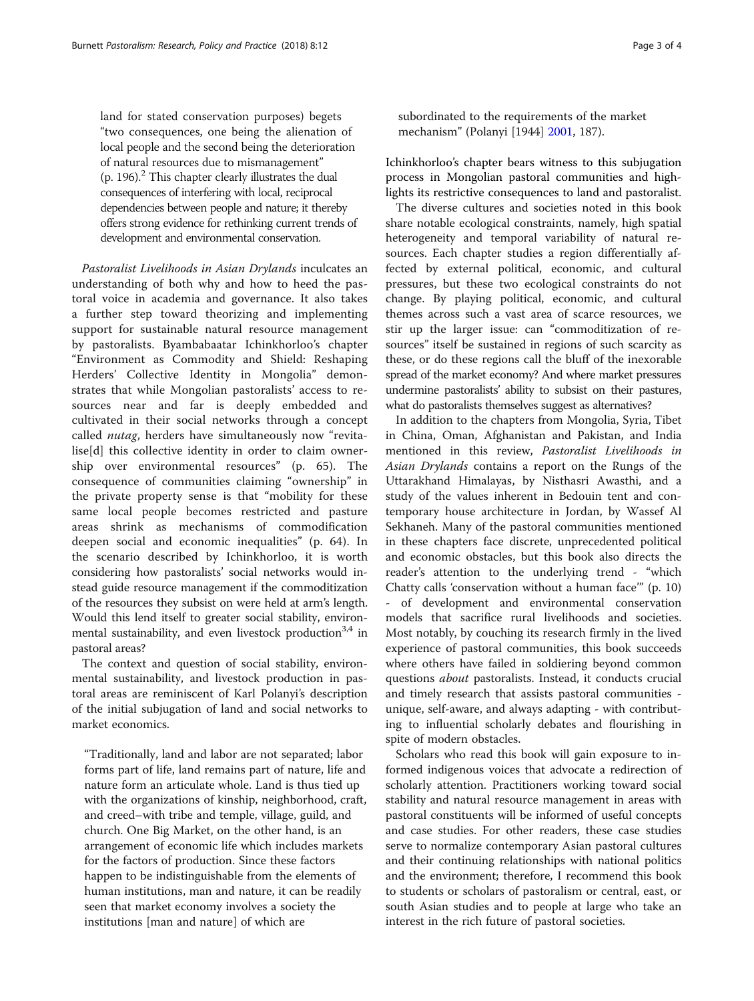land for stated conservation purposes) begets "two consequences, one being the alienation of local people and the second being the deterioration of natural resources due to mismanagement"  $(p. 196)<sup>2</sup>$  This chapter clearly illustrates the dual consequences of interfering with local, reciprocal dependencies between people and nature; it thereby offers strong evidence for rethinking current trends of development and environmental conservation.

Pastoralist Livelihoods in Asian Drylands inculcates an understanding of both why and how to heed the pastoral voice in academia and governance. It also takes a further step toward theorizing and implementing support for sustainable natural resource management by pastoralists. Byambabaatar Ichinkhorloo's chapter "Environment as Commodity and Shield: Reshaping Herders' Collective Identity in Mongolia" demonstrates that while Mongolian pastoralists' access to resources near and far is deeply embedded and cultivated in their social networks through a concept called nutag, herders have simultaneously now "revitalise[d] this collective identity in order to claim ownership over environmental resources" (p. 65). The consequence of communities claiming "ownership" in the private property sense is that "mobility for these same local people becomes restricted and pasture areas shrink as mechanisms of commodification deepen social and economic inequalities" (p. 64). In the scenario described by Ichinkhorloo, it is worth considering how pastoralists' social networks would instead guide resource management if the commoditization of the resources they subsist on were held at arm's length. Would this lend itself to greater social stability, environmental sustainability, and even livestock production $3,4$  in pastoral areas?

The context and question of social stability, environmental sustainability, and livestock production in pastoral areas are reminiscent of Karl Polanyi's description of the initial subjugation of land and social networks to market economics.

"Traditionally, land and labor are not separated; labor forms part of life, land remains part of nature, life and nature form an articulate whole. Land is thus tied up with the organizations of kinship, neighborhood, craft, and creed–with tribe and temple, village, guild, and church. One Big Market, on the other hand, is an arrangement of economic life which includes markets for the factors of production. Since these factors happen to be indistinguishable from the elements of human institutions, man and nature, it can be readily seen that market economy involves a society the institutions [man and nature] of which are

subordinated to the requirements of the market mechanism" (Polanyi [1944] [2001,](#page-3-0) 187).

Ichinkhorloo's chapter bears witness to this subjugation process in Mongolian pastoral communities and highlights its restrictive consequences to land and pastoralist.

The diverse cultures and societies noted in this book share notable ecological constraints, namely, high spatial heterogeneity and temporal variability of natural resources. Each chapter studies a region differentially affected by external political, economic, and cultural pressures, but these two ecological constraints do not change. By playing political, economic, and cultural themes across such a vast area of scarce resources, we stir up the larger issue: can "commoditization of resources" itself be sustained in regions of such scarcity as these, or do these regions call the bluff of the inexorable spread of the market economy? And where market pressures undermine pastoralists' ability to subsist on their pastures, what do pastoralists themselves suggest as alternatives?

In addition to the chapters from Mongolia, Syria, Tibet in China, Oman, Afghanistan and Pakistan, and India mentioned in this review, Pastoralist Livelihoods in Asian Drylands contains a report on the Rungs of the Uttarakhand Himalayas, by Nisthasri Awasthi, and a study of the values inherent in Bedouin tent and contemporary house architecture in Jordan, by Wassef Al Sekhaneh. Many of the pastoral communities mentioned in these chapters face discrete, unprecedented political and economic obstacles, but this book also directs the reader's attention to the underlying trend - "which Chatty calls 'conservation without a human face'" (p. 10) - of development and environmental conservation models that sacrifice rural livelihoods and societies. Most notably, by couching its research firmly in the lived experience of pastoral communities, this book succeeds where others have failed in soldiering beyond common questions about pastoralists. Instead, it conducts crucial and timely research that assists pastoral communities unique, self-aware, and always adapting - with contributing to influential scholarly debates and flourishing in spite of modern obstacles.

Scholars who read this book will gain exposure to informed indigenous voices that advocate a redirection of scholarly attention. Practitioners working toward social stability and natural resource management in areas with pastoral constituents will be informed of useful concepts and case studies. For other readers, these case studies serve to normalize contemporary Asian pastoral cultures and their continuing relationships with national politics and the environment; therefore, I recommend this book to students or scholars of pastoralism or central, east, or south Asian studies and to people at large who take an interest in the rich future of pastoral societies.